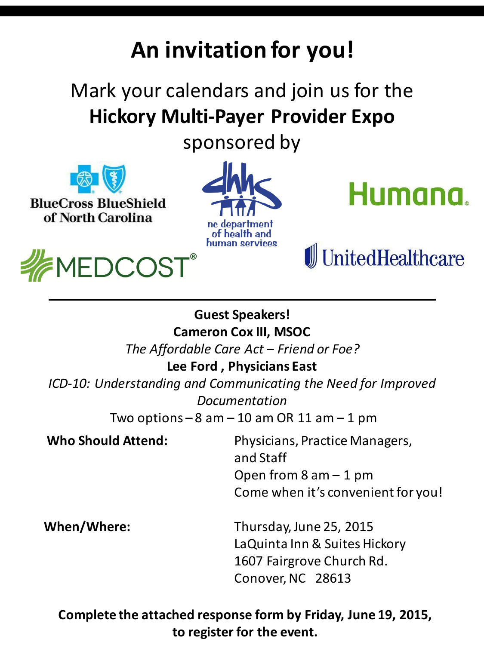# **An invitation for you!**

## Mark your calendars and join us for the **Hickory Multi-Payer Provider Expo**

sponsored by



**BlueCross BlueShield** of North Carolina









### **Guest Speakers!**

**Cameron Cox III, MSOC**

*The Affordable Care Act – Friend or Foe?* 

#### **Lee Ford , Physicians East**

*ICD-10: Understanding and Communicating the Need for Improved Documentation*

Two options  $-8$  am  $-10$  am OR 11 am  $-1$  pm

 **Who Should Attend:** Physicians, Practice Managers, and Staff Open from  $8$  am  $-1$  pm Come when it's convenient for you!

**When/Where:** Thursday, June 25, 2015 LaQuinta Inn & Suites Hickory 1607 Fairgrove Church Rd. Conover, NC 28613

**Complete the attached response form by Friday, June 19, 2015, to register for the event.**